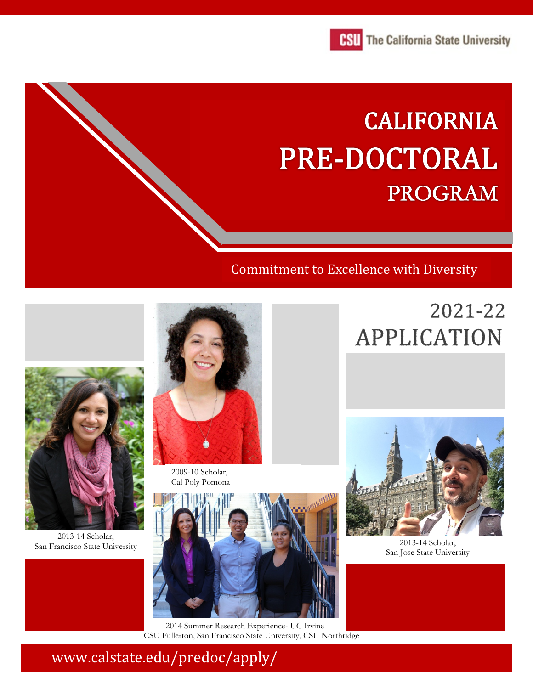

# **CALIFORNIA** PRE-DOCTORAL **PROGRAM**

### Commitment to Excellence with Diversity

## 2021-22 **APPLICATION**



2013-14 Scholar, San Francisco State University



2009-10 Scholar, Cal Poly Pomona



 2014 Summer Research Experience- UC Irvine CSU Fullerton, San Francisco State University, CSU Northridge



2013-14 Scholar, San Jose State University

www.calstate.edu/predoc/apply/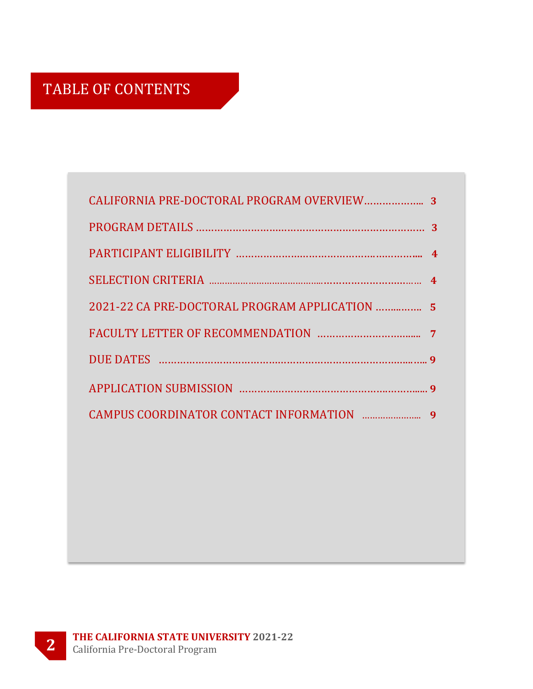### TABLE OF CONTENTS

| 2021-22 CA PRE-DOCTORAL PROGRAM APPLICATION  5 |                  |
|------------------------------------------------|------------------|
|                                                |                  |
|                                                |                  |
|                                                |                  |
|                                                | $\boldsymbol{q}$ |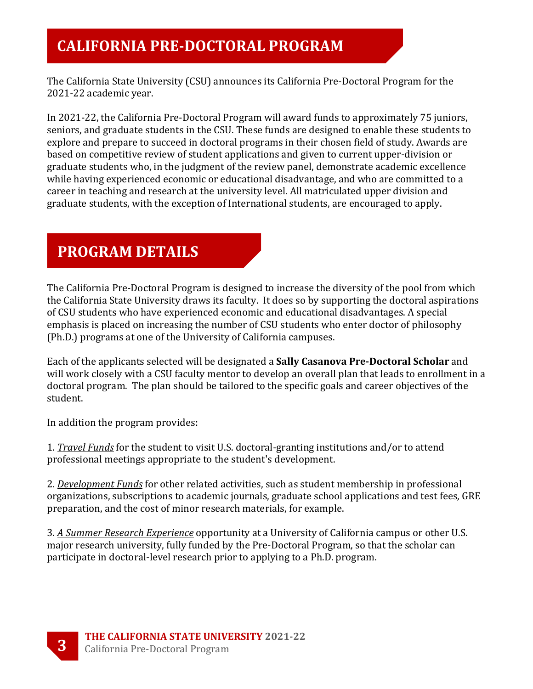### **CALIFORNIA PRE-DOCTORAL PROGRAM**

The California State University (CSU) announces its California Pre-Doctoral Program for the 2021-22 academic year.

In 2021-22, the California Pre-Doctoral Program will award funds to approximately 75 juniors, seniors, and graduate students in the CSU. These funds are designed to enable these students to explore and prepare to succeed in doctoral programs in their chosen field of study. Awards are based on competitive review of student applications and given to current upper-division or graduate students who, in the judgment of the review panel, demonstrate academic excellence while having experienced economic or educational disadvantage, and who are committed to a career in teaching and research at the university level. All matriculated upper division and graduate students, with the exception of International students, are encouraged to apply.

### **PROGRAM DETAILS**

The California Pre-Doctoral Program is designed to increase the diversity of the pool from which the California State University draws its faculty. It does so by supporting the doctoral aspirations of CSU students who have experienced economic and educational disadvantages. A special emphasis is placed on increasing the number of CSU students who enter doctor of philosophy (Ph.D.) programs at one of the University of California campuses.

Each of the applicants selected will be designated a **Sally Casanova Pre-Doctoral Scholar** and will work closely with a CSU faculty mentor to develop an overall plan that leads to enrollment in a doctoral program. The plan should be tailored to the specific goals and career objectives of the student.

In addition the program provides:

1. *Travel Funds* for the student to visit U.S. doctoral-granting institutions and/or to attend professional meetings appropriate to the student's development.

2. *Development Funds* for other related activities, such as student membership in professional organizations, subscriptions to academic journals, graduate school applications and test fees, GRE preparation, and the cost of minor research materials, for example.

3. *A Summer Research Experience* opportunity at a University of California campus or other U.S. major research university, fully funded by the Pre-Doctoral Program, so that the scholar can participate in doctoral-level research prior to applying to a Ph.D. program.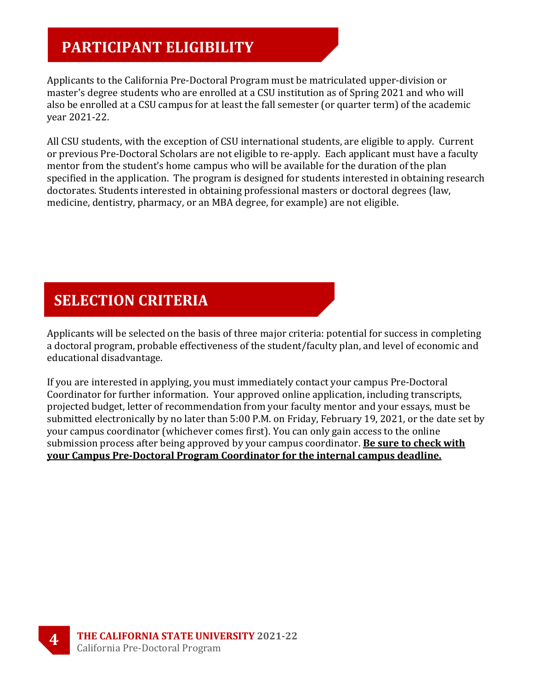### **PARTICIPANT ELIGIBILITY**

Applicants to the California Pre-Doctoral Program must be matriculated upper-division or master's degree students who are enrolled at a CSU institution as of Spring 2021 and who will also be enrolled at a CSU campus for at least the fall semester (or quarter term) of the academic year 2021-22.

All CSU students, with the exception of CSU international students, are eligible to apply. Current or previous Pre-Doctoral Scholars are not eligible to re-apply. Each applicant must have a faculty mentor from the student's home campus who will be available for the duration of the plan specified in the application. The program is designed for students interested in obtaining research doctorates. Students interested in obtaining professional masters or doctoral degrees (law, medicine, dentistry, pharmacy, or an MBA degree, for example) are not eligible.

### **SELECTION CRITERIA**

Applicants will be selected on the basis of three major criteria: potential for success in completing a doctoral program, probable effectiveness of the student/faculty plan, and level of economic and educational disadvantage.

If you are interested in applying, you must immediately contact your campus Pre-Doctoral Coordinator for further information. Your approved online application, including transcripts, projected budget, letter of recommendation from your faculty mentor and your essays, must be submitted electronically by no later than 5:00 P.M. on Friday, February 19, 2021, or the date set by your campus coordinator (whichever comes first). You can only gain access to the online submission process after being approved by your campus coordinator. **Be sure to check with your Campus Pre-Doctoral Program Coordinator for the internal campus deadline.**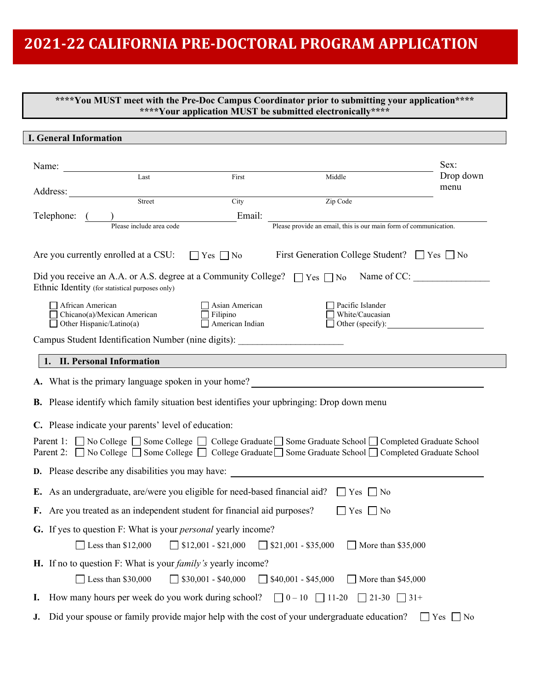### **2021-22 CALIFORNIA PRE-DOCTORAL PROGRAM APPLICATION**

#### **\*\*\*\*You MUST meet with the Pre-Doc Campus Coordinator prior to submitting your application\*\*\*\* \*\*\*\*Your application MUST be submitted electronically\*\*\*\***

|                                                                                                                                                                                                              | <b>I. General Information</b>                                                                                                                                                                                           |                       |  |  |  |  |
|--------------------------------------------------------------------------------------------------------------------------------------------------------------------------------------------------------------|-------------------------------------------------------------------------------------------------------------------------------------------------------------------------------------------------------------------------|-----------------------|--|--|--|--|
|                                                                                                                                                                                                              |                                                                                                                                                                                                                         |                       |  |  |  |  |
| Name:                                                                                                                                                                                                        | Last<br>First<br>Middle                                                                                                                                                                                                 | Sex:<br>Drop down     |  |  |  |  |
|                                                                                                                                                                                                              | Address:                                                                                                                                                                                                                | menu                  |  |  |  |  |
|                                                                                                                                                                                                              | Street<br>Zip Code<br>City                                                                                                                                                                                              |                       |  |  |  |  |
|                                                                                                                                                                                                              | Email:<br>Telephone:                                                                                                                                                                                                    |                       |  |  |  |  |
|                                                                                                                                                                                                              | Please provide an email, this is our main form of communication.<br>Please include area code                                                                                                                            |                       |  |  |  |  |
| Are you currently enrolled at a CSU:<br>First Generation College Student? $\Box$ Yes $\Box$ No<br>$Yes \nightharpoonup No$                                                                                   |                                                                                                                                                                                                                         |                       |  |  |  |  |
| Name of CC:<br>Did you receive an A.A. or A.S. degree at a Community College?<br>$\Box$ Yes $\Box$ No<br>Ethnic Identity (for statistical purposes only)                                                     |                                                                                                                                                                                                                         |                       |  |  |  |  |
|                                                                                                                                                                                                              | African American<br>Asian American<br>Pacific Islander<br>Chicano(a)/Mexican American<br>White/Caucasian<br>Filipino<br>$\overline{\Box}$ American Indian<br>$\Box$ Other Hispanic/Latino(a)<br>$\Box$ Other (specify): |                       |  |  |  |  |
|                                                                                                                                                                                                              | Campus Student Identification Number (nine digits):                                                                                                                                                                     |                       |  |  |  |  |
|                                                                                                                                                                                                              | 1. II. Personal Information                                                                                                                                                                                             |                       |  |  |  |  |
| A. What is the primary language spoken in your home?                                                                                                                                                         |                                                                                                                                                                                                                         |                       |  |  |  |  |
| <b>B.</b> Please identify which family situation best identifies your upbringing: Drop down menu                                                                                                             |                                                                                                                                                                                                                         |                       |  |  |  |  |
| C. Please indicate your parents' level of education:                                                                                                                                                         |                                                                                                                                                                                                                         |                       |  |  |  |  |
| Parent 1: No College Some College © College Graduate Some Graduate School © Completed Graduate School<br>Parent 2: No College Some College Scollege Graduate Some Graduate School Scompleted Graduate School |                                                                                                                                                                                                                         |                       |  |  |  |  |
|                                                                                                                                                                                                              | <b>D.</b> Please describe any disabilities you may have:                                                                                                                                                                |                       |  |  |  |  |
|                                                                                                                                                                                                              | <b>E.</b> As an undergraduate, are/were you eligible for need-based financial aid? $\Box$ Yes $\Box$ No                                                                                                                 |                       |  |  |  |  |
|                                                                                                                                                                                                              | F. Are you treated as an independent student for financial aid purposes?<br>$Yes \tNo$                                                                                                                                  |                       |  |  |  |  |
| G. If yes to question F: What is your <i>personal</i> yearly income?                                                                                                                                         |                                                                                                                                                                                                                         |                       |  |  |  |  |
|                                                                                                                                                                                                              | Less than \$12,000<br>$$12,001 - $21,000$<br>$\Box$ \$21,001 - \$35,000<br>More than \$35,000                                                                                                                           |                       |  |  |  |  |
|                                                                                                                                                                                                              | H. If no to question F: What is your <i>family's</i> yearly income?                                                                                                                                                     |                       |  |  |  |  |
|                                                                                                                                                                                                              | Less than \$30,000<br>$$30,001 - $40,000$<br>$$40,001 - $45,000$<br>More than \$45,000                                                                                                                                  |                       |  |  |  |  |
| Ι.                                                                                                                                                                                                           | How many hours per week do you work during school?<br>$\Box$ 0 – 10<br>$\Box$ 11-20<br>$\Box$ 21-30 $\Box$ 31+                                                                                                          |                       |  |  |  |  |
| J.                                                                                                                                                                                                           | Did your spouse or family provide major help with the cost of your undergraduate education?                                                                                                                             | Yes<br>$\overline{N}$ |  |  |  |  |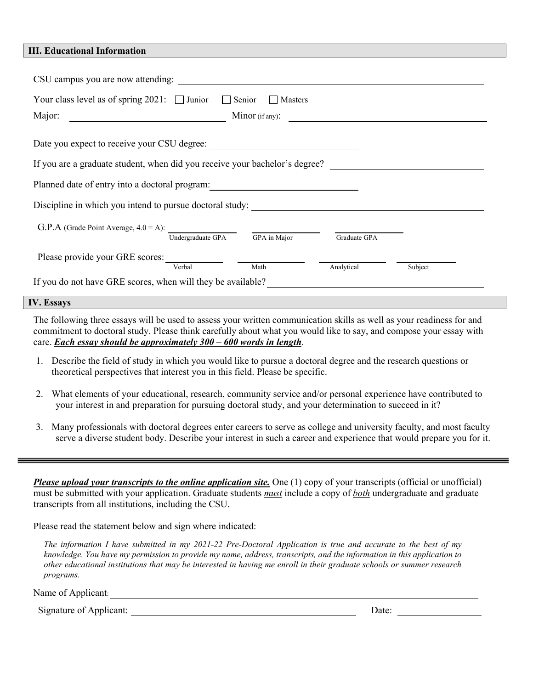#### **III. Educational Information**

| CSU campus you are now attending:                                                             |  |  |  |  |  |  |
|-----------------------------------------------------------------------------------------------|--|--|--|--|--|--|
| Your class level as of spring 2021: $\Box$ Junior $\Box$ Senior<br>Masters                    |  |  |  |  |  |  |
| Major:<br>Minor (if any):<br><u> 1989 - Andrea State Barbara, amerikan per</u>                |  |  |  |  |  |  |
| Date you expect to receive your CSU degree:                                                   |  |  |  |  |  |  |
| If you are a graduate student, when did you receive your bachelor's degree?                   |  |  |  |  |  |  |
| Planned date of entry into a doctoral program:                                                |  |  |  |  |  |  |
| Discipline in which you intend to pursue doctoral study:                                      |  |  |  |  |  |  |
| G.P.A (Grade Point Average, $4.0 = A$ ):<br>Undergraduate GPA<br>GPA in Major<br>Graduate GPA |  |  |  |  |  |  |
| Please provide your GRE scores:<br>Verbal<br>Math<br>Analytical<br>Subject                    |  |  |  |  |  |  |
| If you do not have GRE scores, when will they be available?                                   |  |  |  |  |  |  |

#### **IV. Essays**

The following three essays will be used to assess your written communication skills as well as your readiness for and commitment to doctoral study. Please think carefully about what you would like to say, and compose your essay with care. *Each essay should be approximately 300 – 600 words in length*.

- 1. Describe the field of study in which you would like to pursue a doctoral degree and the research questions or theoretical perspectives that interest you in this field. Please be specific.
- 2. What elements of your educational, research, community service and/or personal experience have contributed to your interest in and preparation for pursuing doctoral study, and your determination to succeed in it?
- 3. Many professionals with doctoral degrees enter careers to serve as college and university faculty, and most faculty serve a diverse student body. Describe your interest in such a career and experience that would prepare you for it.

*Please upload your transcripts to the online application site.* One (1) copy of your transcripts (official or unofficial) must be submitted with your application. Graduate students *must* include a copy of *both* undergraduate and graduate transcripts from all institutions, including the CSU.

Please read the statement below and sign where indicated:

*The information I have submitted in my 2021-22 Pre-Doctoral Application is true and accurate to the best of my knowledge. You have my permission to provide my name, address, transcripts, and the information in this application to other educational institutions that may be interested in having me enroll in their graduate schools or summer research programs.*

Name of Applicant:

Signature of Applicant: Date: Date: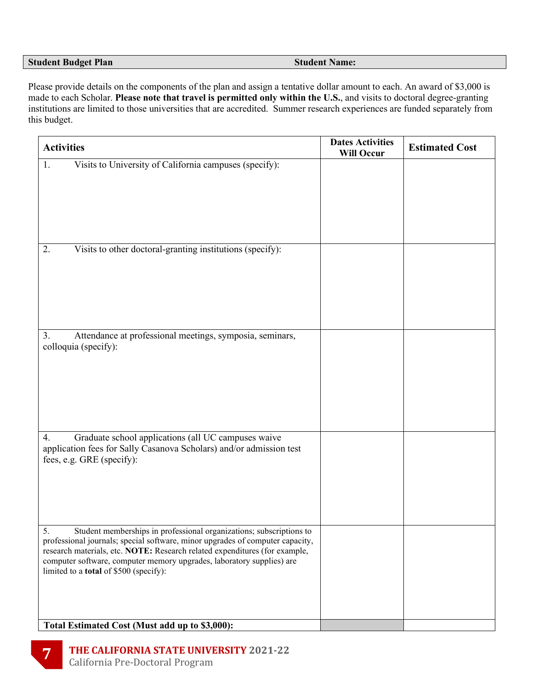#### **Student Budget Plan Student Name:**

Please provide details on the components of the plan and assign a tentative dollar amount to each. An award of \$3,000 is made to each Scholar. **Please note that travel is permitted only within the U.S.**, and visits to doctoral degree-granting institutions are limited to those universities that are accredited. Summer research experiences are funded separately from this budget.

| <b>Activities</b>                                                                                                                                                                                                                                                                                                                                                  | <b>Dates Activities</b><br><b>Will Occur</b> | <b>Estimated Cost</b> |
|--------------------------------------------------------------------------------------------------------------------------------------------------------------------------------------------------------------------------------------------------------------------------------------------------------------------------------------------------------------------|----------------------------------------------|-----------------------|
| Visits to University of California campuses (specify):<br>1.                                                                                                                                                                                                                                                                                                       |                                              |                       |
| Visits to other doctoral-granting institutions (specify):<br>2.                                                                                                                                                                                                                                                                                                    |                                              |                       |
| Attendance at professional meetings, symposia, seminars,<br>3.<br>colloquia (specify):                                                                                                                                                                                                                                                                             |                                              |                       |
| Graduate school applications (all UC campuses waive<br>4.<br>application fees for Sally Casanova Scholars) and/or admission test<br>fees, e.g. GRE (specify):                                                                                                                                                                                                      |                                              |                       |
| 5.<br>Student memberships in professional organizations; subscriptions to<br>professional journals; special software, minor upgrades of computer capacity,<br>research materials, etc. NOTE: Research related expenditures (for example,<br>computer software, computer memory upgrades, laboratory supplies) are<br>limited to a <b>total</b> of \$500 (specify): |                                              |                       |
| Total Estimated Cost (Must add up to \$3,000):                                                                                                                                                                                                                                                                                                                     |                                              |                       |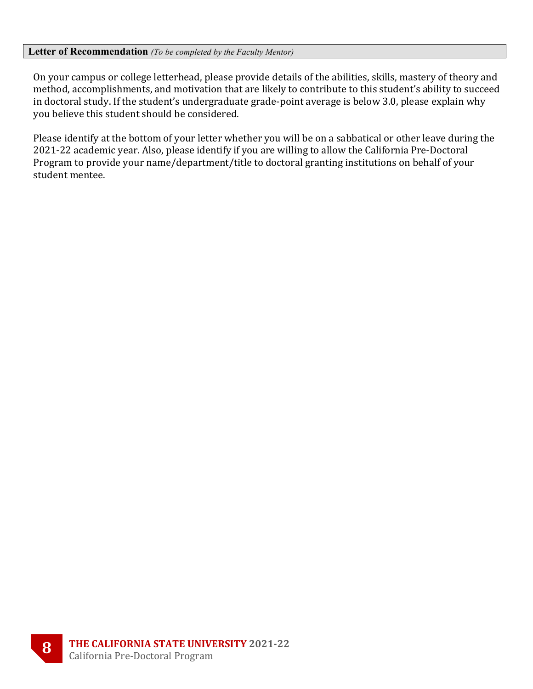#### **Letter of Recommendation** *(To be completed by the Faculty Mentor)*

On your campus or college letterhead, please provide details of the abilities, skills, mastery of theory and method, accomplishments, and motivation that are likely to contribute to this student's ability to succeed in doctoral study. If the student's undergraduate grade-point average is below 3.0, please explain why you believe this student should be considered.

Please identify at the bottom of your letter whether you will be on a sabbatical or other leave during the 2021-22 academic year. Also, please identify if you are willing to allow the California Pre-Doctoral Program to provide your name/department/title to doctoral granting institutions on behalf of your student mentee.